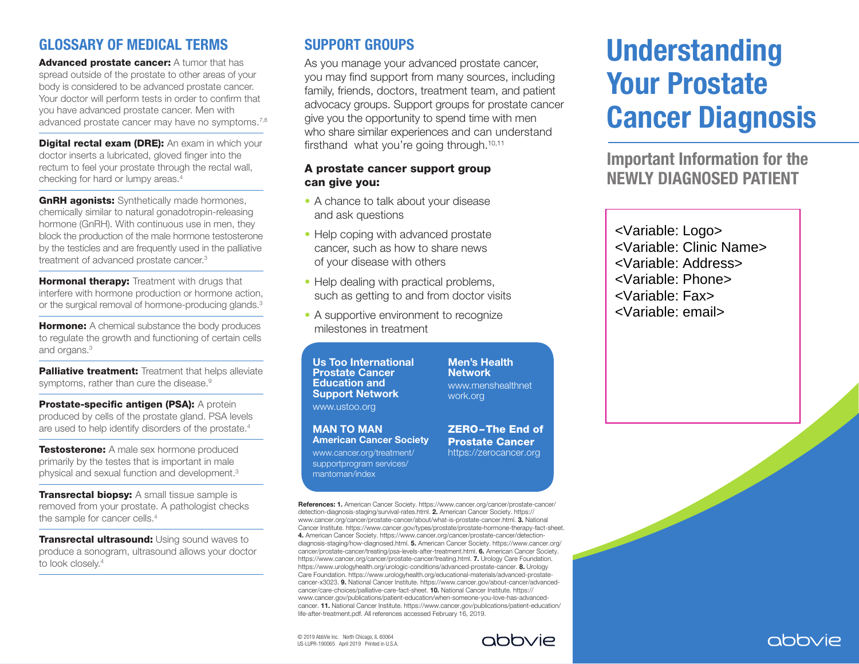#### GLOSSARY OF MEDICAL TERMS

Advanced prostate cancer: A tumor that has spread outside of the prostate to other areas of your body is considered to be advanced prostate cancer. Your doctor will perform tests in order to confirm that you have advanced prostate cancer. Men with advanced prostate cancer may have no symptoms.<sup>7,8</sup>

**Digital rectal exam (DRE):** An exam in which your doctor inserts a lubricated, gloved finger into the rectum to feel your prostate through the rectal wall, checking for hard or lumpy areas.4

**GnRH agonists:** Synthetically made hormones, chemically similar to natural gonadotropin-releasing hormone (GnRH). With continuous use in men, they block the production of the male hormone testosterone by the testicles and are frequently used in the palliative treatment of advanced prostate cancer.3

**Hormonal therapy:** Treatment with drugs that interfere with hormone production or hormone action, or the surgical removal of hormone-producing glands.<sup>3</sup>

**Hormone:** A chemical substance the body produces to regulate the growth and functioning of certain cells and organs.<sup>3</sup>

Palliative treatment: Treatment that helps alleviate symptoms, rather than cure the disease.<sup>9</sup>

Prostate-specific antigen (PSA): A protein produced by cells of the prostate gland. PSA levels are used to help identify disorders of the prostate.4

**Testosterone:** A male sex hormone produced primarily by the testes that is important in male physical and sexual function and development.3

Transrectal biopsy: A small tissue sample is removed from your prostate. A pathologist checks the sample for cancer cells.<sup>4</sup>

**Transrectal ultrasound: Using sound waves to** produce a sonogram, ultrasound allows your doctor to look closely.<sup>4</sup>

## SUPPORT GROUPS

As you manage your advanced prostate cancer, you may find support from many sources, including family, friends, doctors, treatment team, and patient advocacy groups. Support groups for prostate cancer give you the opportunity to spend time with men who share similar experiences and can understand firsthand what you're going through.<sup>10,11</sup>

#### A prostate cancer support group can give you:

- A chance to talk about your disease and ask questions
- Help coping with advanced prostate cancer, such as how to share news of your disease with others
- Help dealing with practical problems, such as getting to and from doctor visits
- A supportive environment to recognize milestones in treatment

Us Too International Prostate Cancer Education and Support Network www.ustoo.org

MAN TO MAN American Cancer Society www.cancer.org/treatment/ supportprogram services/ mantoman/index

**Network** www.menshealthnet work.org

Men's Health

ZERO – The End of Prostate Cancer https://zerocancer.org

# Understanding Your Prostate Cancer Diagnosis

Important Information for the NEWLY DIAGNOSED PATIENT

<Variable: Logo> <Variable: Clinic Name> <Variable: Address> <Variable: Phone> <Variable: Fax>

<Variable: email>

References: 1. American Cancer Society. https://www.cancer.org/cancer/prostate-cancer/ detection-diagnosis-staging/survival-rates.html. 2. American Cancer Society. https:// www.cancer.org/cancer/prostate-cancer/about/what-is-prostate-cancer.html. 3. National Cancer Institute. https://www.cancer.gov/types/prostate/prostate-hormone-therapy-fact-sheet. 4. American Cancer Society. https://www.cancer.org/cancer/prostate-cancer/detectiondiagnosis-staging/how-diagnosed.html. 5. American Cancer Society. https://www.cancer.org/ cancer/prostate-cancer/treating/psa-levels-after-treatment.html. 6. American Cancer Society. https://www.cancer.org/cancer/prostate-cancer/treating.html. 7. Urology Care Foundation. https://www.urologyhealth.org/urologic-conditions/advanced-prostate-cancer. 8. Urology Care Foundation. https://www.urologyhealth.org/educational-materials/advanced-prostatecancer-x3023. 9. National Cancer Institute. https://www.cancer.gov/about-cancer/advancedcancer/care-choices/palliative-care-fact-sheet. 10. National Cancer Institute. https:// www.cancer.gov/publications/patient-education/when-someone-you-love-has-advancedcancer. 11. National Cancer Institute. https://www.cancer.gov/publications/patient-education/ life-after-treatment.pdf. All references accessed February 16, 2019.

© 2019 AbbVie Inc. North Chicago, IL 60064 US-LUPR-190065 April 2019 Printed in U.S.A.